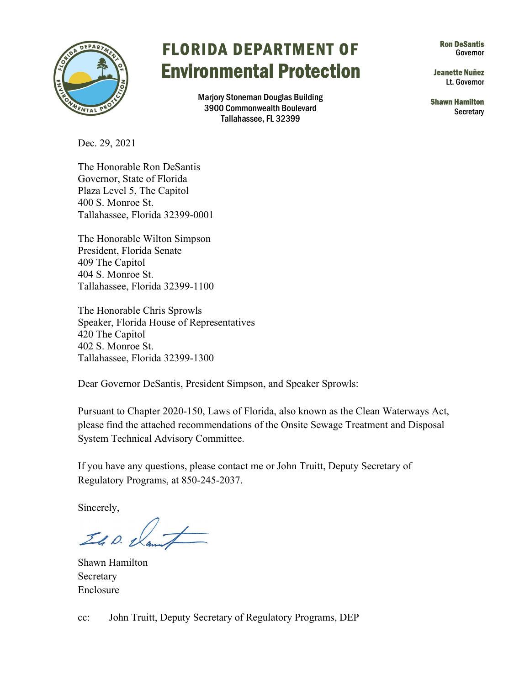

## FLORIDA DEPARTMENT OF Ron DeSantls Governor Environmental Protection Jeanette Nuñez

Marjory Stoneman Douglas Building<br>3900 Commonwealth Boulevard Shawn Hamilton Shawn Hamilton<br>Tallahassee, FL 32399

Lt. Governor

Dec. 29, 2021

 Plaza Level 5, The Capitol The Honorable Ron DeSantis Governor, State of Florida 400 S. Monroe St. Tallahassee, Florida 32399-0001

The Honorable Wilton Simpson President, Florida Senate 409 The Capitol 404 S. Monroe St. Tallahassee, Florida 32399-1100

The Honorable Chris Sprowls Speaker, Florida House of Representatives 420 The Capitol 402 S. Monroe St. Tallahassee, Florida 32399-1300

Dear Governor DeSantis, President Simpson, and Speaker Sprowls:

 please find the attached recommendations of the Onsite Sewage Treatment and Disposal Pursuant to Chapter 2020-150, Laws of Florida, also known as the Clean Waterways Act, System Technical Advisory Committee.

If you have any questions, please contact me or John Truitt, Deputy Secretary of Regulatory Programs, at 850-245-2037.

Sincerely,

Il D. Nan

 Secretary Enclosure Shawn Hamilton

cc: John Truitt, Deputy Secretary of Regulatory Programs, DEP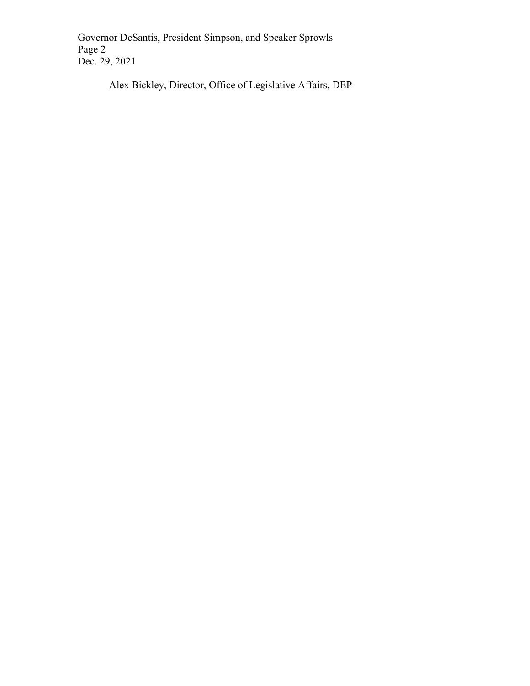Governor DeSantis, President Simpson, and Speaker Sprowls Page 2 Dec. 29, 2021

Alex Bickley, Director, Office of Legislative Affairs, DEP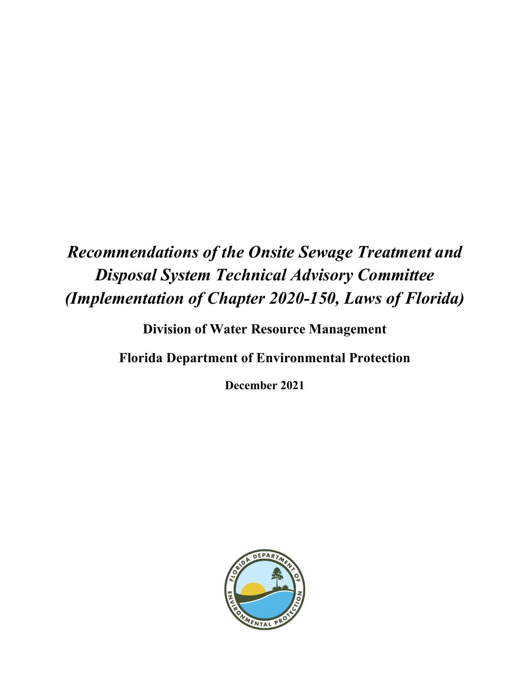# *Recommendations of the Onsite Sewage Treatment and Disposal System Technical Advisory Committee (Implementation of Chapter 2020-150, Laws of Florida)*

**Division of Water Resource Management**

**Florida Department of Environmental Protection**

**December 2021**

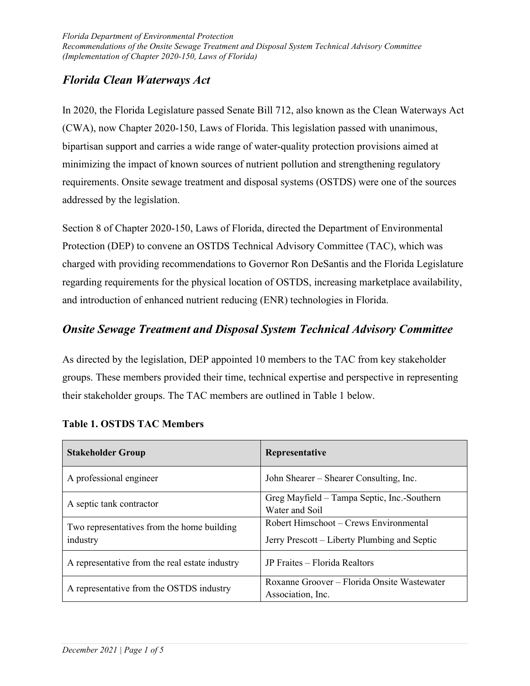## *Florida Clean Waterways Act*

In 2020, the Florida Legislature passed Senate Bill 712, also known as the Clean Waterways Act (CWA), now Chapter 2020-150, Laws of Florida. This legislation passed with unanimous, bipartisan support and carries a wide range of water-quality protection provisions aimed at minimizing the impact of known sources of nutrient pollution and strengthening regulatory requirements. Onsite sewage treatment and disposal systems (OSTDS) were one of the sources addressed by the legislation.

Section 8 of Chapter 2020-150, Laws of Florida, directed the Department of Environmental Protection (DEP) to convene an OSTDS Technical Advisory Committee (TAC), which was charged with providing recommendations to Governor Ron DeSantis and the Florida Legislature regarding requirements for the physical location of OSTDS, increasing marketplace availability, and introduction of enhanced nutrient reducing (ENR) technologies in Florida.

## *Onsite Sewage Treatment and Disposal System Technical Advisory Committee*

As directed by the legislation, DEP appointed 10 members to the TAC from key stakeholder groups. These members provided their time, technical expertise and perspective in representing their stakeholder groups. The TAC members are outlined in Table 1 below.

| <b>Stakeholder Group</b>                               | Representative                                                                         |
|--------------------------------------------------------|----------------------------------------------------------------------------------------|
| A professional engineer                                | John Shearer – Shearer Consulting, Inc.                                                |
| A septic tank contractor                               | Greg Mayfield – Tampa Septic, Inc.-Southern<br>Water and Soil                          |
| Two representatives from the home building<br>industry | Robert Himschoot – Crews Environmental<br>Jerry Prescott – Liberty Plumbing and Septic |
| A representative from the real estate industry         | JP Fraites – Florida Realtors                                                          |
| A representative from the OSTDS industry               | Roxanne Groover – Florida Onsite Wastewater<br>Association, Inc.                       |

#### **Table 1. OSTDS TAC Members**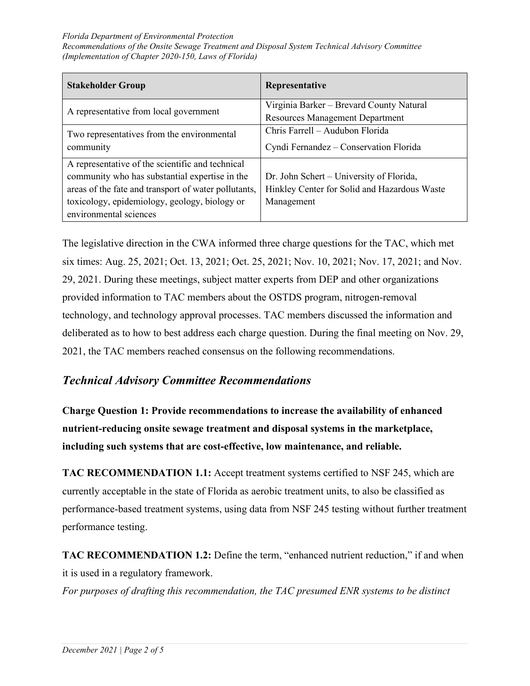#### *Florida Department of Environmental Protection Recommendations of the Onsite Sewage Treatment and Disposal System Technical Advisory Committee (Implementation of Chapter 2020-150, Laws of Florida)*

| <b>Stakeholder Group</b>                             | Representative                               |
|------------------------------------------------------|----------------------------------------------|
| A representative from local government               | Virginia Barker - Brevard County Natural     |
|                                                      | <b>Resources Management Department</b>       |
| Two representatives from the environmental           | Chris Farrell - Audubon Florida              |
| community                                            | Cyndi Fernandez - Conservation Florida       |
| A representative of the scientific and technical     |                                              |
| community who has substantial expertise in the       | Dr. John Schert - University of Florida,     |
| areas of the fate and transport of water pollutants, | Hinkley Center for Solid and Hazardous Waste |
| toxicology, epidemiology, geology, biology or        | Management                                   |
| environmental sciences                               |                                              |

The legislative direction in the CWA informed three charge questions for the TAC, which met six times: Aug. 25, 2021; Oct. 13, 2021; Oct. 25, 2021; Nov. 10, 2021; Nov. 17, 2021; and Nov. 29, 2021. During these meetings, subject matter experts from DEP and other organizations provided information to TAC members about the OSTDS program, nitrogen-removal technology, and technology approval processes. TAC members discussed the information and deliberated as to how to best address each charge question. During the final meeting on Nov. 29, 2021, the TAC members reached consensus on the following recommendations.

### *Technical Advisory Committee Recommendations*

**Charge Question 1: Provide recommendations to increase the availability of enhanced nutrient-reducing onsite sewage treatment and disposal systems in the marketplace, including such systems that are cost-effective, low maintenance, and reliable.**

**TAC RECOMMENDATION 1.1:** Accept treatment systems certified to NSF 245, which are currently acceptable in the state of Florida as aerobic treatment units, to also be classified as performance-based treatment systems, using data from NSF 245 testing without further treatment performance testing.

**TAC RECOMMENDATION 1.2:** Define the term, "enhanced nutrient reduction," if and when it is used in a regulatory framework.

*For purposes of drafting this recommendation, the TAC presumed ENR systems to be distinct*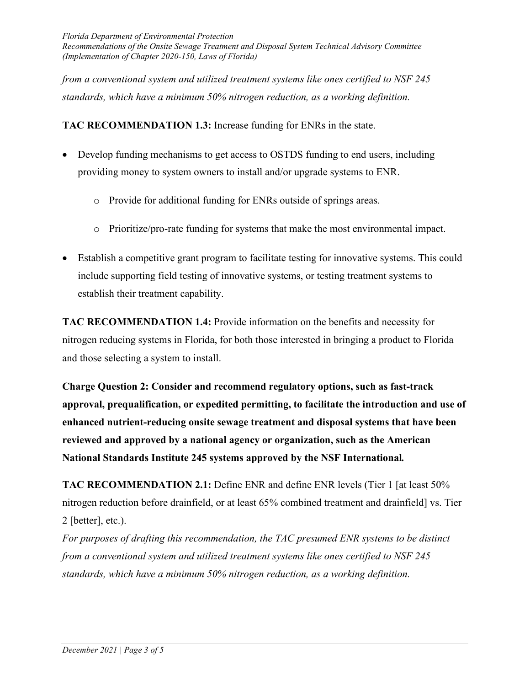*Florida Department of Environmental Protection Recommendations of the Onsite Sewage Treatment and Disposal System Technical Advisory Committee (Implementation of Chapter 2020-150, Laws of Florida)*

*from a conventional system and utilized treatment systems like ones certified to NSF 245 standards, which have a minimum 50% nitrogen reduction, as a working definition.*

**TAC RECOMMENDATION 1.3:** Increase funding for ENRs in the state.

- Develop funding mechanisms to get access to OSTDS funding to end users, including providing money to system owners to install and/or upgrade systems to ENR.
	- o Provide for additional funding for ENRs outside of springs areas.
	- o Prioritize/pro-rate funding for systems that make the most environmental impact.
- Establish a competitive grant program to facilitate testing for innovative systems. This could include supporting field testing of innovative systems, or testing treatment systems to establish their treatment capability.

**TAC RECOMMENDATION 1.4:** Provide information on the benefits and necessity for nitrogen reducing systems in Florida, for both those interested in bringing a product to Florida and those selecting a system to install.

**Charge Question 2: Consider and recommend regulatory options, such as fast-track approval, prequalification, or expedited permitting, to facilitate the introduction and use of enhanced nutrient-reducing onsite sewage treatment and disposal systems that have been reviewed and approved by a national agency or organization, such as the American National Standards Institute 245 systems approved by the NSF International***.*

**TAC RECOMMENDATION 2.1:** Define ENR and define ENR levels (Tier 1 [at least 50% nitrogen reduction before drainfield, or at least 65% combined treatment and drainfield] vs. Tier 2 [better], etc.).

*For purposes of drafting this recommendation, the TAC presumed ENR systems to be distinct from a conventional system and utilized treatment systems like ones certified to NSF 245 standards, which have a minimum 50% nitrogen reduction, as a working definition.*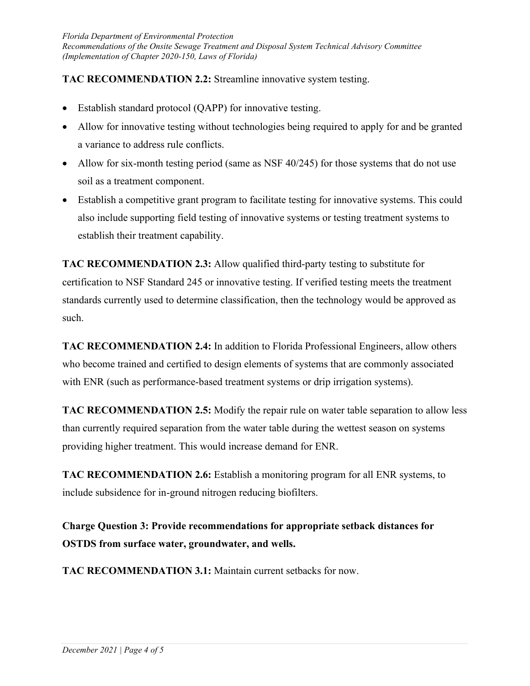### **TAC RECOMMENDATION 2.2:** Streamline innovative system testing.

- Establish standard protocol (QAPP) for innovative testing.
- Allow for innovative testing without technologies being required to apply for and be granted a variance to address rule conflicts.
- Allow for six-month testing period (same as NSF  $40/245$ ) for those systems that do not use soil as a treatment component.
- Establish a competitive grant program to facilitate testing for innovative systems. This could also include supporting field testing of innovative systems or testing treatment systems to establish their treatment capability.

**TAC RECOMMENDATION 2.3:** Allow qualified third-party testing to substitute for certification to NSF Standard 245 or innovative testing. If verified testing meets the treatment standards currently used to determine classification, then the technology would be approved as such.

**TAC RECOMMENDATION 2.4:** In addition to Florida Professional Engineers, allow others who become trained and certified to design elements of systems that are commonly associated with ENR (such as performance-based treatment systems or drip irrigation systems).

**TAC RECOMMENDATION 2.5:** Modify the repair rule on water table separation to allow less than currently required separation from the water table during the wettest season on systems providing higher treatment. This would increase demand for ENR.

**TAC RECOMMENDATION 2.6:** Establish a monitoring program for all ENR systems, to include subsidence for in-ground nitrogen reducing biofilters.

**Charge Question 3: Provide recommendations for appropriate setback distances for OSTDS from surface water, groundwater, and wells.**

**TAC RECOMMENDATION 3.1:** Maintain current setbacks for now.